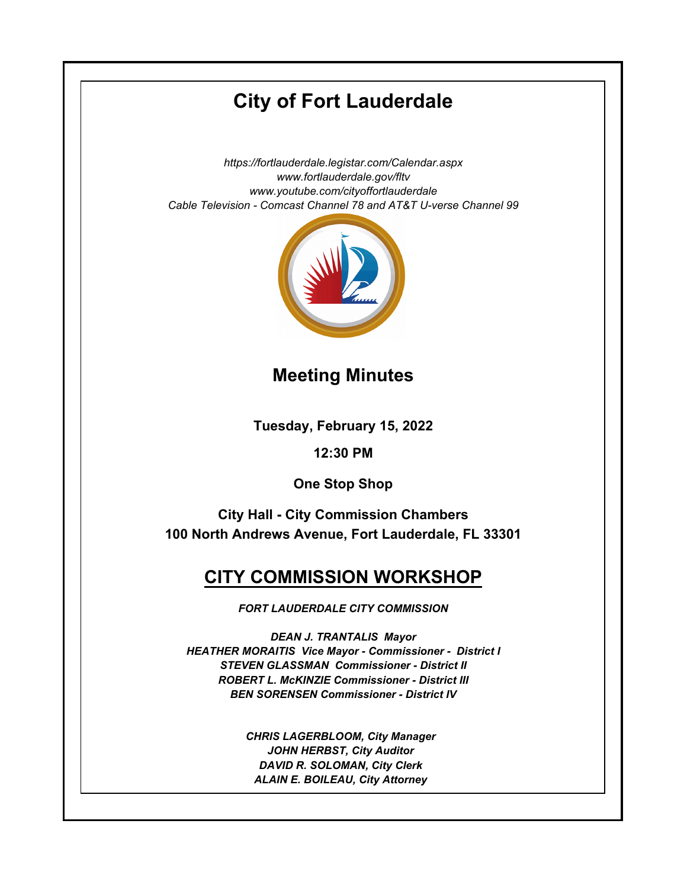# **City of Fort Lauderdale**

*https://fortlauderdale.legistar.com/Calendar.aspx www.fortlauderdale.gov/fltv www.youtube.com/cityoffortlauderdale Cable Television - Comcast Channel 78 and AT&T U-verse Channel 99*



### **Meeting Minutes**

**Tuesday, February 15, 2022**

**12:30 PM**

**One Stop Shop**

**City Hall - City Commission Chambers 100 North Andrews Avenue, Fort Lauderdale, FL 33301**

## **CITY COMMISSION WORKSHOP**

*FORT LAUDERDALE CITY COMMISSION*

*DEAN J. TRANTALIS Mayor HEATHER MORAITIS Vice Mayor - Commissioner - District I STEVEN GLASSMAN Commissioner - District II ROBERT L. McKINZIE Commissioner - District III BEN SORENSEN Commissioner - District IV*

> *CHRIS LAGERBLOOM, City Manager JOHN HERBST, City Auditor DAVID R. SOLOMAN, City Clerk ALAIN E. BOILEAU, City Attorney*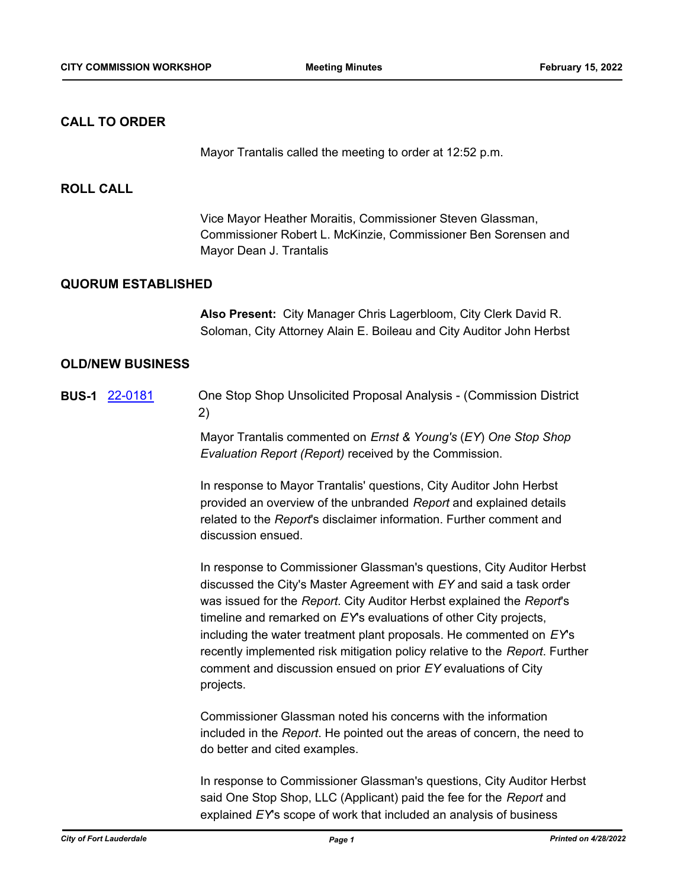#### **CALL TO ORDER**

Mayor Trantalis called the meeting to order at 12:52 p.m.

#### **ROLL CALL**

Vice Mayor Heather Moraitis, Commissioner Steven Glassman, Commissioner Robert L. McKinzie, Commissioner Ben Sorensen and Mayor Dean J. Trantalis

#### **QUORUM ESTABLISHED**

**Also Present:** City Manager Chris Lagerbloom, City Clerk David R. Soloman, City Attorney Alain E. Boileau and City Auditor John Herbst

#### **OLD/NEW BUSINESS**

**BUS-1** [22-0181](http://fortlauderdale.legistar.com/gateway.aspx?m=l&id=/matter.aspx?key=16302) One Stop Shop Unsolicited Proposal Analysis - (Commission District 2)

> Mayor Trantalis commented on *Ernst & Young's* (*EY*) *One Stop Shop Evaluation Report (Report)* received by the Commission.

In response to Mayor Trantalis' questions, City Auditor John Herbst provided an overview of the unbranded *Report* and explained details related to the *Report*'s disclaimer information. Further comment and discussion ensued.

In response to Commissioner Glassman's questions, City Auditor Herbst discussed the City's Master Agreement with *EY* and said a task order was issued for the *Report*. City Auditor Herbst explained the *Report*'s timeline and remarked on *EY*'s evaluations of other City projects, including the water treatment plant proposals. He commented on *EY*'s recently implemented risk mitigation policy relative to the *Report*. Further comment and discussion ensued on prior *EY* evaluations of City projects.

Commissioner Glassman noted his concerns with the information included in the *Report*. He pointed out the areas of concern, the need to do better and cited examples.

In response to Commissioner Glassman's questions, City Auditor Herbst said One Stop Shop, LLC (Applicant) paid the fee for the *Report* and explained *EY*'s scope of work that included an analysis of business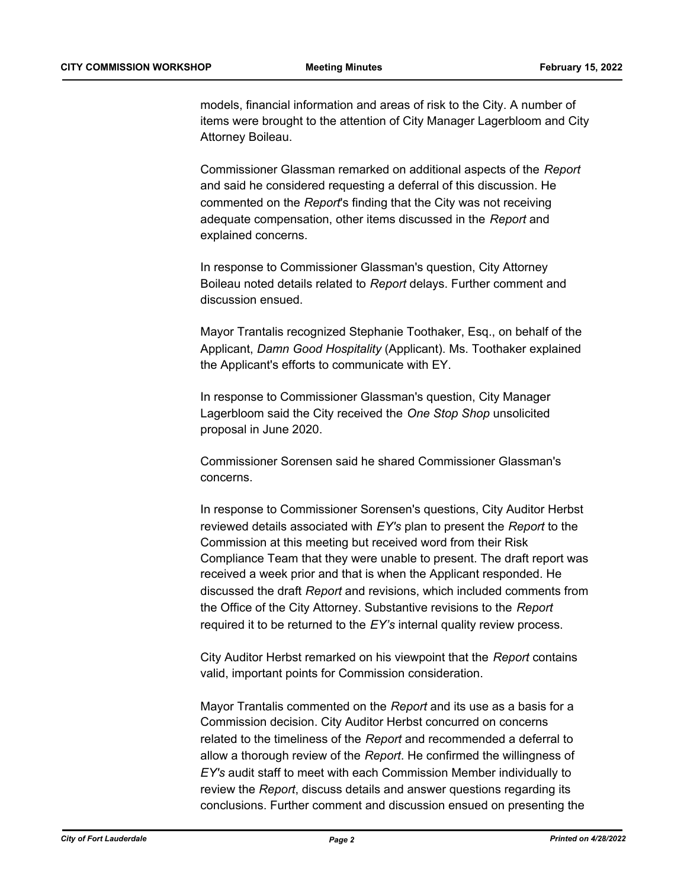models, financial information and areas of risk to the City. A number of items were brought to the attention of City Manager Lagerbloom and City Attorney Boileau.

Commissioner Glassman remarked on additional aspects of the *Report* and said he considered requesting a deferral of this discussion. He commented on the *Report*'s finding that the City was not receiving adequate compensation, other items discussed in the *Report* and explained concerns.

In response to Commissioner Glassman's question, City Attorney Boileau noted details related to *Report* delays. Further comment and discussion ensued.

Mayor Trantalis recognized Stephanie Toothaker, Esq., on behalf of the Applicant, *Damn Good Hospitality* (Applicant). Ms. Toothaker explained the Applicant's efforts to communicate with EY.

In response to Commissioner Glassman's question, City Manager Lagerbloom said the City received the *One Stop Shop* unsolicited proposal in June 2020.

Commissioner Sorensen said he shared Commissioner Glassman's concerns.

In response to Commissioner Sorensen's questions, City Auditor Herbst reviewed details associated with *EY's* plan to present the *Report* to the Commission at this meeting but received word from their Risk Compliance Team that they were unable to present. The draft report was received a week prior and that is when the Applicant responded. He discussed the draft *Report* and revisions, which included comments from the Office of the City Attorney. Substantive revisions to the *Report* required it to be returned to the *EY's* internal quality review process.

City Auditor Herbst remarked on his viewpoint that the *Report* contains valid, important points for Commission consideration.

Mayor Trantalis commented on the *Report* and its use as a basis for a Commission decision. City Auditor Herbst concurred on concerns related to the timeliness of the *Report* and recommended a deferral to allow a thorough review of the *Report*. He confirmed the willingness of *EY's* audit staff to meet with each Commission Member individually to review the *Report*, discuss details and answer questions regarding its conclusions. Further comment and discussion ensued on presenting the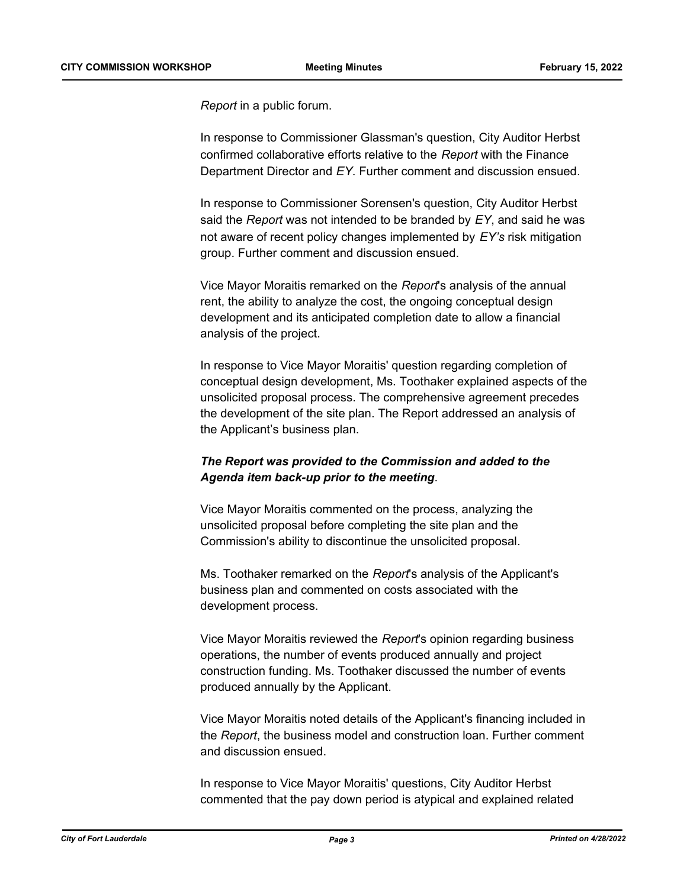*Report* in a public forum.

In response to Commissioner Glassman's question, City Auditor Herbst confirmed collaborative efforts relative to the *Report* with the Finance Department Director and *EY*. Further comment and discussion ensued.

In response to Commissioner Sorensen's question, City Auditor Herbst said the *Report* was not intended to be branded by *EY*, and said he was not aware of recent policy changes implemented by *EY's* risk mitigation group. Further comment and discussion ensued.

Vice Mayor Moraitis remarked on the *Report*'s analysis of the annual rent, the ability to analyze the cost, the ongoing conceptual design development and its anticipated completion date to allow a financial analysis of the project.

In response to Vice Mayor Moraitis' question regarding completion of conceptual design development, Ms. Toothaker explained aspects of the unsolicited proposal process. The comprehensive agreement precedes the development of the site plan. The Report addressed an analysis of the Applicant's business plan.

#### *The Report was provided to the Commission and added to the Agenda item back-up prior to the meeting*.

Vice Mayor Moraitis commented on the process, analyzing the unsolicited proposal before completing the site plan and the Commission's ability to discontinue the unsolicited proposal.

Ms. Toothaker remarked on the *Report*'s analysis of the Applicant's business plan and commented on costs associated with the development process.

Vice Mayor Moraitis reviewed the *Report*'s opinion regarding business operations, the number of events produced annually and project construction funding. Ms. Toothaker discussed the number of events produced annually by the Applicant.

Vice Mayor Moraitis noted details of the Applicant's financing included in the *Report*, the business model and construction loan. Further comment and discussion ensued.

In response to Vice Mayor Moraitis' questions, City Auditor Herbst commented that the pay down period is atypical and explained related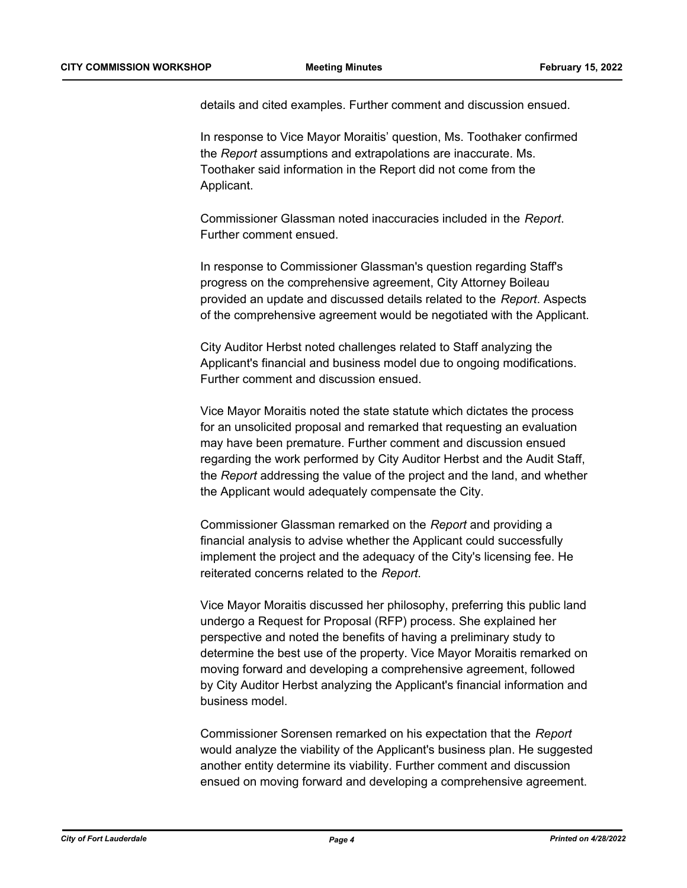details and cited examples. Further comment and discussion ensued.

In response to Vice Mayor Moraitis' question, Ms. Toothaker confirmed the *Report* assumptions and extrapolations are inaccurate. Ms. Toothaker said information in the Report did not come from the Applicant.

Commissioner Glassman noted inaccuracies included in the *Report*. Further comment ensued.

In response to Commissioner Glassman's question regarding Staff's progress on the comprehensive agreement, City Attorney Boileau provided an update and discussed details related to the *Report*. Aspects of the comprehensive agreement would be negotiated with the Applicant.

City Auditor Herbst noted challenges related to Staff analyzing the Applicant's financial and business model due to ongoing modifications. Further comment and discussion ensued.

Vice Mayor Moraitis noted the state statute which dictates the process for an unsolicited proposal and remarked that requesting an evaluation may have been premature. Further comment and discussion ensued regarding the work performed by City Auditor Herbst and the Audit Staff, the *Report* addressing the value of the project and the land, and whether the Applicant would adequately compensate the City.

Commissioner Glassman remarked on the *Report* and providing a financial analysis to advise whether the Applicant could successfully implement the project and the adequacy of the City's licensing fee. He reiterated concerns related to the *Report*.

Vice Mayor Moraitis discussed her philosophy, preferring this public land undergo a Request for Proposal (RFP) process. She explained her perspective and noted the benefits of having a preliminary study to determine the best use of the property. Vice Mayor Moraitis remarked on moving forward and developing a comprehensive agreement, followed by City Auditor Herbst analyzing the Applicant's financial information and business model.

Commissioner Sorensen remarked on his expectation that the *Report* would analyze the viability of the Applicant's business plan. He suggested another entity determine its viability. Further comment and discussion ensued on moving forward and developing a comprehensive agreement.